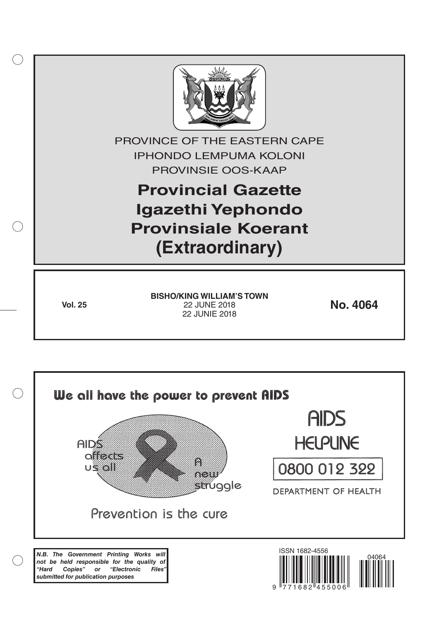

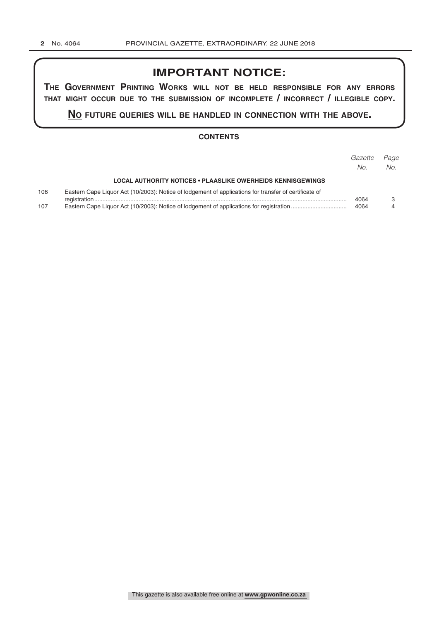# **IMPORTANT NOTICE:**

**The GovernmenT PrinTinG Works Will noT be held resPonsible for any errors ThaT miGhT occur due To The submission of incomPleTe / incorrecT / illeGible coPy.**

**no fuTure queries Will be handled in connecTion WiTh The above.**

## **CONTENTS**

|     |                                                                                                       | Gazette<br>No. | Page<br>No. |
|-----|-------------------------------------------------------------------------------------------------------|----------------|-------------|
|     | <b>LOCAL AUTHORITY NOTICES • PLAASLIKE OWERHEIDS KENNISGEWINGS</b>                                    |                |             |
| 106 | Eastern Cape Liquor Act (10/2003): Notice of lodgement of applications for transfer of certificate of | 4064           |             |
| 107 |                                                                                                       | 4064           |             |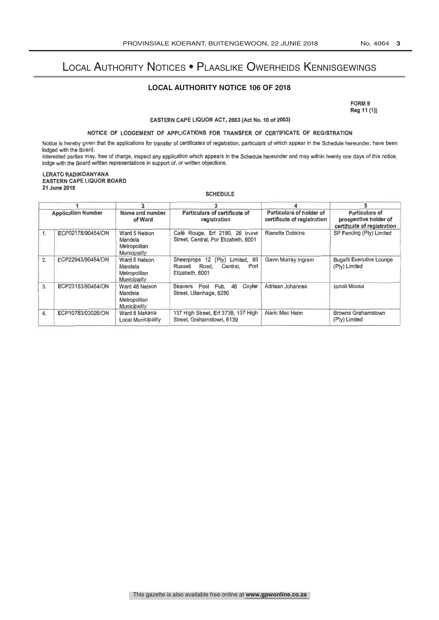# Local Authority Notices • Plaaslike Owerheids Kennisgewings

### **LOCAL AUTHORITY NOTICE 106 OF 2018**

FORM 9 Reg 11 (1)]

#### EASTERN CAPE LIQUOR ACT, 2003 (Act No. 10 of 2003)

### NOTICE OF LODGEMENT OF APPLICATIONS FOR TRANSFER OF CERTIFICATE OF REGISTRATION

Notice is hereby given that the applications for transfer of certificates of registration, particulars of which appear in the Schedule hereunder, have been lodged with the Board.

Interested parties may, free of charge, inspect any application which appears in the Schedule hereunder and may within twenty one days of this notice, lodge with the Board written representations in support of, or written objections.

#### LERATO RADIKOANYANA EASTERN CAPE LIQUOR BOARD 21 June 2018

SCHEDULE

| <b>Application Number</b> |                   |                                                                             |                                                                                            |                                                         |                                                                               |  |
|---------------------------|-------------------|-----------------------------------------------------------------------------|--------------------------------------------------------------------------------------------|---------------------------------------------------------|-------------------------------------------------------------------------------|--|
|                           |                   | Name and number<br>Particulars of certificate of<br>of Ward<br>registration |                                                                                            | Particulars of holder of<br>certificate of registration | <b>Particulars of</b><br>prospective holder of<br>certificate of registration |  |
| 1.                        | ECP02178/90454/ON | Ward 5 Nelson<br>Mandela<br>Metropolitan<br>Municipality                    | Café Rouge, Erf 2190, 26 Irvine<br>Street, Central, Por Elizabeth, 6001                    | <b>Rianette Dobkins</b>                                 | SP Fencing (Pty) Limited                                                      |  |
| 2.                        | ECP22943/90454/ON | Ward 5 Nelson<br>Mandela<br>Metropolitan<br>Municipality                    | Sheerprops 12 (Pty) Limited, 93<br>Central,<br>Russell<br>Road,<br>Port<br>Elizabeth, 6001 | Gavin Murray Ingram                                     | <b>Bugatti Executive Lounge</b><br>(Pty) Limited                              |  |
| 3.                        | ECP23153/90454/ON | Ward 48 Nelson<br>Mandela<br>Metropolitan<br>Municipality                   | Covler<br>46<br>Pool Pub,<br><b>Beavers</b><br>Street, Uitenhage, 6280                     | Adriaan Johannes                                        | Ismail Moosa                                                                  |  |
| $\overline{4}$ .          | ECP10783/03026/ON | Ward 8 Makana<br>Local Municipality                                         | 137 High Street, Erf 3738, 137 High<br>Street, Grahamstown, 6139                           | Alaric Mac Heim                                         | Browns Grahamstown<br>(Pty) Limited                                           |  |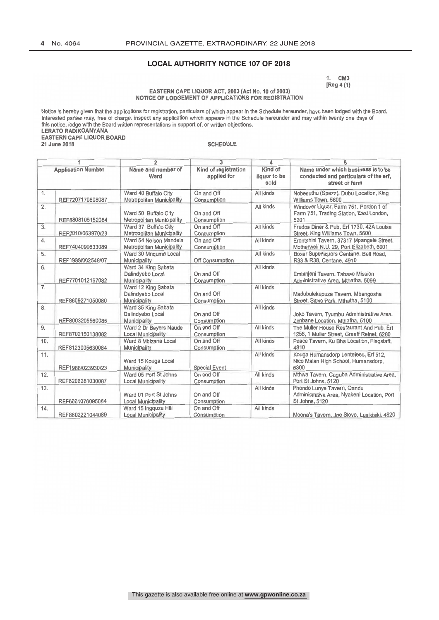## **LOCAL AUTHORITY NOTICE 107 OF 2018**

1. CM3. CM3.  $\ln$ ca 4 (1)

#### EASTERN CAPE LIQUOR ACT, 2003 (Act No. 10 of 2003) NOTICE OF LODGEMENT OF APPLICATIONS FOR REGISTRATION

Notice is hereby given that the applications for registration, particulars of which appear in the Schedule hereunder, have been lodged with the Board.<br>Interested parties may, free of charge, inspect any application which a this notice, lodge with the Board written representations in support of, or written objections. LERATO RADIKOANYANA EASTERN CAPE LIQUOR BOARD 21 June 2018 SCHEDULE

|                           |                   | $\overline{2}$                                           | 3                                   | 4                               | 5                                                                                             |
|---------------------------|-------------------|----------------------------------------------------------|-------------------------------------|---------------------------------|-----------------------------------------------------------------------------------------------|
| <b>Application Number</b> |                   | Name and number of<br>Ward                               | Kind of registration<br>applied for | Kind of<br>liquor to be<br>sold | Name under which business is to be<br>conducted and particulars of the erf,<br>street or farm |
| 1.                        | REF7207170808087  | Ward 40 Buffalo City<br><b>Metropolitan Municipality</b> | On and Off<br><b>Consumption</b>    | All kinds                       | Nobesuthu (Spezz), Dubu Location, King<br>Williams Town, 5600                                 |
| 2.                        | REF8808105152084  | Ward 50 Buffalo City<br>Metropolitan Municipality        | On and Off<br>Consumption           | All kinds                       | Windover Liquor, Farm 751, Portion 1 of<br>Farm 751, Trading Station, East London,<br>5201    |
| 3.                        | REF2010/063970/23 | Ward 37 Buffalo City<br>Metropolitan Municipality        | On and Off<br>Consumption           | All kinds                       | Fredos Diner & Pub, Erf 1730, 42A Louisa<br>Street, King Williams Town, 5600                  |
| 4.                        | REF7404090633089  | Ward 54 Nelson Mandela<br>Metropolitan Municipality      | On and Off<br>Consumption           | All kinds                       | Erontshini Tavern, 37317 Mpangele Street,<br>Motherwell N.U. 29, Port Elizabeth, 6001         |
| 5.                        | REF1988/002548/07 | Ward 30 Mnguma Local<br>Municipality                     | Off Consumption                     | All kinds                       | Boxer Superliquors Centane, Bell Road,<br>R33 & R38, Centane, 4910                            |
| 6.                        | REF7701012167082  | Ward 34 King Sabata<br>Dalindyebo Local<br>Municipality  | On and Off<br>Consumption           | All kinds                       | Emlanjeni Tavern, Tabase Mission<br>Administrative Area, Mthatha, 5099                        |
| $\overline{7}$ .          | REF8609271050080  | Ward 12 King Sabata<br>Dalindyebo Local<br>Municipality  | On and Off<br>Consumption           | All kinds                       | Madubulekepuza Tavern, Mbengosha<br>Street, Slovo Park, Mthatha, 5100                         |
| 8.                        | REF8003205560085  | Ward 35 King Sabata<br>Dalindyebo Local<br>Municipality  | On and Off<br>Consumption           | All kinds                       | Joko Tavern, Tyumbu Administrative Area,<br>Zimbane Location, Mthatha, 5100                   |
| 9.                        | REF8702150138082  | Ward 2 Dr Beyers Naude<br><b>Local Municipality</b>      | On and Off<br>Consumption           | All kinds                       | The Muller House Restaurant And Pub. Erf<br>1256, 1 Muller Street, Graaff Reinet, 6280        |
| 10.                       | REF8123005630084  | Ward 8 Mbizana Local<br>Municipality                     | On and Off<br>Consumption           | All kinds                       | Peace Tavern, Ku Bha Location, Flagstaff,<br>4810                                             |
| 11.                       | REF1988/023930/23 | Ward 15 Kouga Local<br>Municipality                      | <b>Special Event</b>                | All kinds                       | Kouga Humansdorp Lentefees, Erf 512,<br>Nico Malan High School, Humansdorp,<br>6300           |
| 12.                       | REF6206281030087  | Ward 05 Port St Johns<br><b>Local Municipality</b>       | On and Off<br>Consumption           | All kinds                       | Mthwa Tavem, Caguba Administrative Area,<br>Port St Johns, 5120                               |
| 13.                       | REF6001076095084  | Ward 01 Port St Johns<br><b>Local Municipality</b>       | On and Off<br>Consumption           | All kinds                       | Phondo Lunye Tavern, Qandu<br>Administrative Area, Nyakeni Location, Port<br>St Johns, 5120   |
| 14.                       | REF8602221044089  | Ward 15 Ingquza Hill<br>Local Municipality               | On and Off<br>Consumption           | All kinds                       | Moona's Tavern, Joe Slovo, Lusikisiki, 4820                                                   |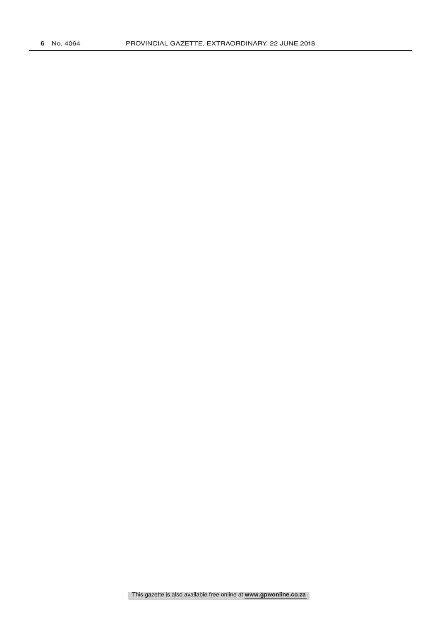This gazette is also available free online at **www.gpwonline.co.za**